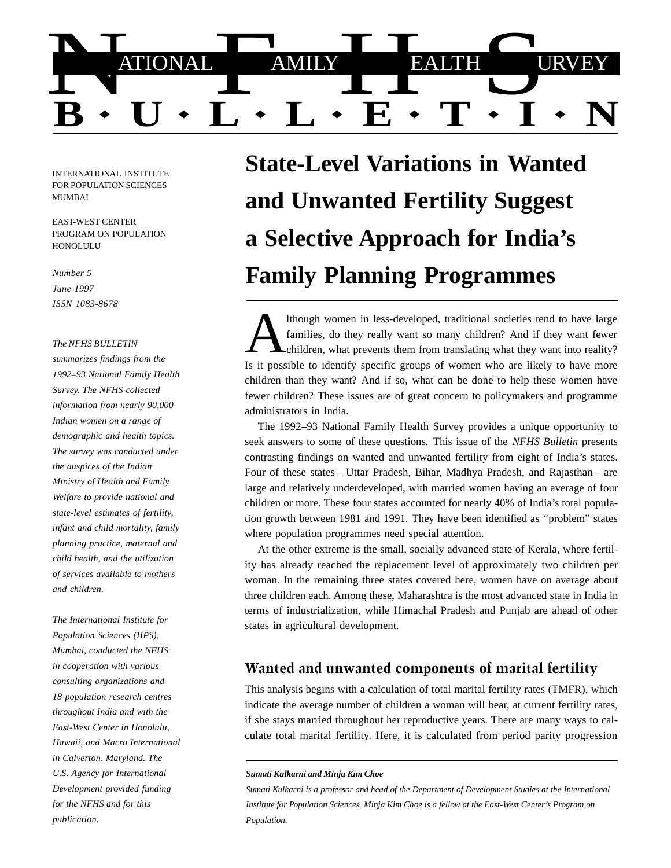

INTERNATIONAL INSTITUTE FOR POPULATION SCIENCES MUMBAI

EAST-WEST CENTER PROGRAM ON POPULATION **HONOLULU** 

*Number 5 June 1997 ISSN 1083-8678*

#### *The NFHS BULLETIN*

*summarizes findings from the 1992–93 National Family Health Survey. The NFHS collected information from nearly 90,000 Indian women on a range of demographic and health topics. The survey was conducted under the auspices of the Indian Ministry of Health and Family Welfare to provide national and state-level estimates of fertility, infant and child mortality, family planning practice, maternal and child health, and the utilization of services available to mothers and children.*

*The International Institute for Population Sciences (IIPS), Mumbai, conducted the NFHS in cooperation with various consulting organizations and 18 population research centres throughout India and with the East-West Center in Honolulu, Hawaii, and Macro International in Calverton, Maryland. The U.S. Agency for International Development provided funding for the NFHS and for this publication.*

**State-Level Variations in Wanted and Unwanted Fertility Suggest a Selective Approach for India's Family Planning Programmes**

Is it possible to identify specific groups of women who are likely to have more children than they want? And if so, what can be done to help these women have fewer children? These issues are of great concern to policymakers and programme administrators in India. lthough women in less-developed, traditional societies tend to have large families, do they really want so many children? And if they want fewer  $\epsilon$ children, what prevents them from translating what they want into reality?

The 1992–93 National Family Health Survey provides a unique opportunity to seek answers to some of these questions. This issue of the *NFHS Bulletin* presents contrasting findings on wanted and unwanted fertility from eight of India's states. Four of these states—Uttar Pradesh, Bihar, Madhya Pradesh, and Rajasthan—are large and relatively underdeveloped, with married women having an average of four children or more. These four states accounted for nearly 40% of India's total population growth between 1981 and 1991. They have been identified as "problem" states where population programmes need special attention.

At the other extreme is the small, socially advanced state of Kerala, where fertility has already reached the replacement level of approximately two children per woman. In the remaining three states covered here, women have on average about three children each. Among these, Maharashtra is the most advanced state in India in terms of industrialization, while Himachal Pradesh and Punjab are ahead of other states in agricultural development.

### Wanted and unwanted components of marital fertility

This analysis begins with a calculation of total marital fertility rates (TMFR), which indicate the average number of children a woman will bear, at current fertility rates, if she stays married throughout her reproductive years. There are many ways to calculate total marital fertility. Here, it is calculated from period parity progression

*Sumati Kulkarni is a professor and head of the Department of Development Studies at the International Institute for Population Sciences. Minja Kim Choe is a fellow at the East-West Center's Program on Population.*

*Sumati Kulkarni and Minja Kim Choe*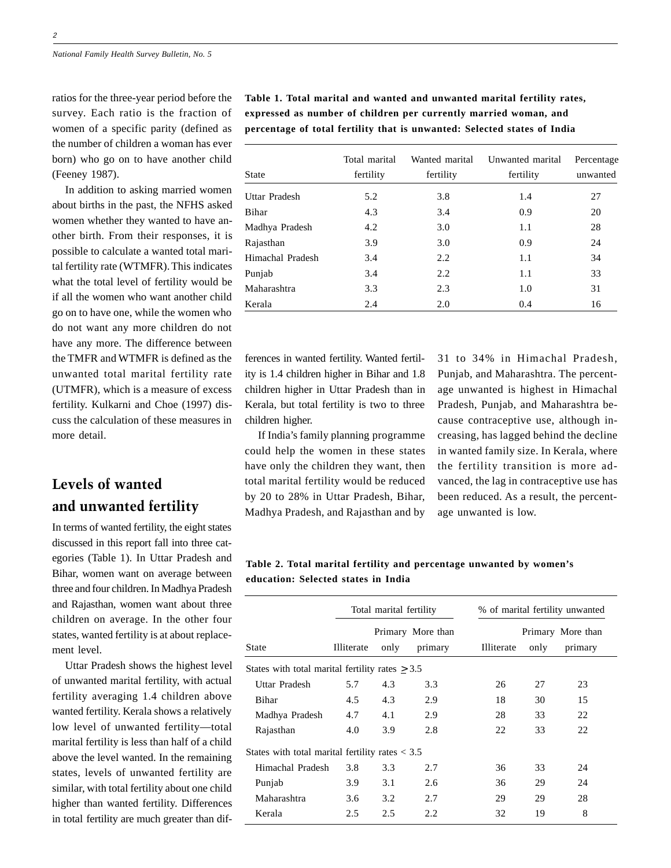ratios for the three-year period before the survey. Each ratio is the fraction of women of a specific parity (defined as the number of children a woman has ever born) who go on to have another child (Feeney 1987).

In addition to asking married women about births in the past, the NFHS asked women whether they wanted to have another birth. From their responses, it is possible to calculate a wanted total marital fertility rate (WTMFR). This indicates what the total level of fertility would be if all the women who want another child go on to have one, while the women who do not want any more children do not have any more. The difference between the TMFR and WTMFR is defined as the unwanted total marital fertility rate (UTMFR), which is a measure of excess fertility. Kulkarni and Choe (1997) discuss the calculation of these measures in more detail.

# Levels of wanted and unwanted fertility

In terms of wanted fertility, the eight states discussed in this report fall into three categories (Table 1). In Uttar Pradesh and Bihar, women want on average between three and four children. In Madhya Pradesh and Rajasthan, women want about three children on average. In the other four states, wanted fertility is at about replacement level.

Uttar Pradesh shows the highest level of unwanted marital fertility, with actual fertility averaging 1.4 children above wanted fertility. Kerala shows a relatively low level of unwanted fertility—total marital fertility is less than half of a child above the level wanted. In the remaining states, levels of unwanted fertility are similar, with total fertility about one child higher than wanted fertility. Differences in total fertility are much greater than dif**Table 1. Total marital and wanted and unwanted marital fertility rates, expressed as number of children per currently married woman, and percentage of total fertility that is unwanted: Selected states of India**

| <b>State</b>     | Total marital<br>fertility | Wanted marital<br>fertility | Unwanted marital<br>fertility | Percentage<br>unwanted<br>27 |  |
|------------------|----------------------------|-----------------------------|-------------------------------|------------------------------|--|
| Uttar Pradesh    | 5.2                        | 3.8                         | 1.4                           |                              |  |
| Bihar            | 4.3                        | 3.4                         | 0.9                           | 20                           |  |
| Madhya Pradesh   | 4.2                        | 3.0                         | 1.1                           | 28                           |  |
| Rajasthan        | 3.9                        | 3.0                         | 0.9                           | 24                           |  |
| Himachal Pradesh | 3.4                        | 2.2                         | 1.1                           | 34                           |  |
| Punjab           | 3.4                        | 2.2                         | 1.1                           | 33                           |  |
| Maharashtra      | 3.3                        | 2.3                         | 1.0                           | 31                           |  |
| Kerala           | 2.4                        | 2.0                         | 0.4                           | 16                           |  |

ferences in wanted fertility. Wanted fertility is 1.4 children higher in Bihar and 1.8 children higher in Uttar Pradesh than in Kerala, but total fertility is two to three children higher.

If India's family planning programme could help the women in these states have only the children they want, then total marital fertility would be reduced by 20 to 28% in Uttar Pradesh, Bihar, Madhya Pradesh, and Rajasthan and by

31 to 34% in Himachal Pradesh, Punjab, and Maharashtra. The percentage unwanted is highest in Himachal Pradesh, Punjab, and Maharashtra because contraceptive use, although increasing, has lagged behind the decline in wanted family size. In Kerala, where the fertility transition is more advanced, the lag in contraceptive use has been reduced. As a result, the percentage unwanted is low.

**Table 2. Total marital fertility and percentage unwanted by women's education: Selected states in India**

|                                                      | Total marital fertility |      |                   | % of marital fertility unwanted |      |         |  |  |
|------------------------------------------------------|-------------------------|------|-------------------|---------------------------------|------|---------|--|--|
|                                                      | Primary More than       |      | Primary More than |                                 |      |         |  |  |
| <b>State</b>                                         | Illiterate              | only | primary           | Illiterate                      | only | primary |  |  |
| States with total marital fertility rates $\geq 3.5$ |                         |      |                   |                                 |      |         |  |  |
| Uttar Pradesh                                        | 5.7                     | 4.3  | 3.3               | 26                              | 27   | 23      |  |  |
| Bihar                                                | 4.5                     | 4.3  | 2.9               | 18                              | 30   | 15      |  |  |
| Madhya Pradesh                                       | 4.7                     | 4.1  | 2.9               | 28                              | 33   | 22      |  |  |
| Rajasthan                                            | 4.0                     | 3.9  | 2.8               | 22                              | 33   | 22      |  |  |
| States with total marital fertility rates $<$ 3.5    |                         |      |                   |                                 |      |         |  |  |
| Himachal Pradesh                                     | 3.8                     | 3.3  | 2.7               | 36                              | 33   | 24      |  |  |
| Punjab                                               | 3.9                     | 3.1  | 2.6               | 36                              | 29   | 24      |  |  |
| Maharashtra                                          | 3.6                     | 3.2  | 2.7               | 29                              | 29   | 28      |  |  |
| Kerala                                               | 2.5                     | 2.5  | 2.2               | 32                              | 19   | 8       |  |  |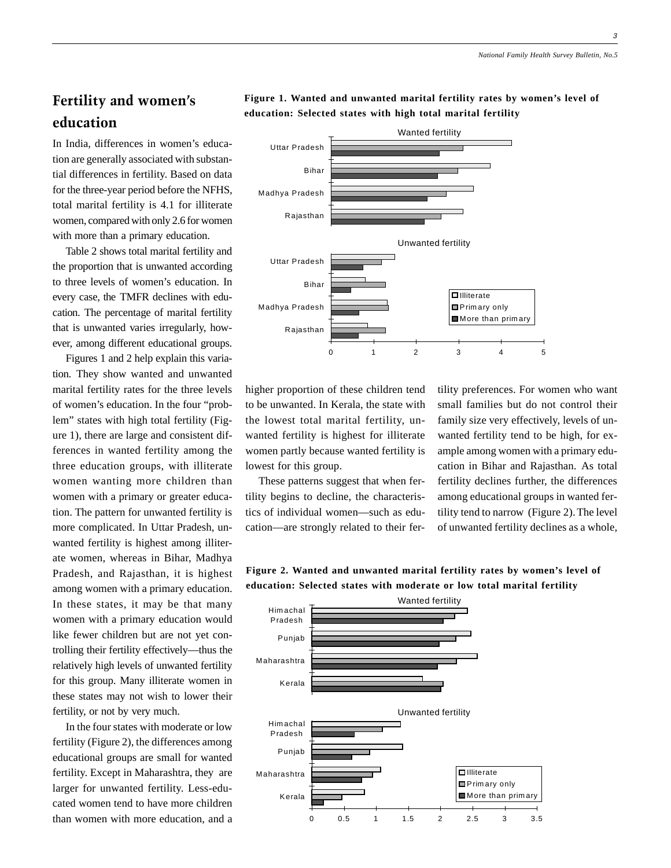# Fertility and women's education

In India, differences in women's education are generally associated with substantial differences in fertility. Based on data for the three-year period before the NFHS, total marital fertility is 4.1 for illiterate women, compared with only 2.6 for women with more than a primary education.

Table 2 shows total marital fertility and the proportion that is unwanted according to three levels of women's education. In every case, the TMFR declines with education. The percentage of marital fertility that is unwanted varies irregularly, however, among different educational groups.

Figures 1 and 2 help explain this variation. They show wanted and unwanted marital fertility rates for the three levels of women's education. In the four "problem" states with high total fertility (Figure 1), there are large and consistent differences in wanted fertility among the three education groups, with illiterate women wanting more children than women with a primary or greater education. The pattern for unwanted fertility is more complicated. In Uttar Pradesh, unwanted fertility is highest among illiterate women, whereas in Bihar, Madhya Pradesh, and Rajasthan, it is highest among women with a primary education. In these states, it may be that many women with a primary education would like fewer children but are not yet controlling their fertility effectively—thus the relatively high levels of unwanted fertility for this group. Many illiterate women in these states may not wish to lower their fertility, or not by very much.

In the four states with moderate or low fertility (Figure 2), the differences among educational groups are small for wanted fertility. Except in Maharashtra, they are larger for unwanted fertility. Less-educated women tend to have more children than women with more education, and a



**education: Selected states with high total marital fertility**

**Figure 1. Wanted and unwanted marital fertility rates by women's level of**



higher proportion of these children tend to be unwanted. In Kerala, the state with the lowest total marital fertility, unwanted fertility is highest for illiterate women partly because wanted fertility is lowest for this group.

These patterns suggest that when fertility begins to decline, the characteristics of individual women—such as education—are strongly related to their fertility preferences. For women who want small families but do not control their family size very effectively, levels of unwanted fertility tend to be high, for example among women with a primary education in Bihar and Rajasthan. As total fertility declines further, the differences among educational groups in wanted fertility tend to narrow (Figure 2). The level of unwanted fertility declines as a whole,

**Figure 2. Wanted and unwanted marital fertility rates by women's level of education: Selected states with moderate or low total marital fertility**